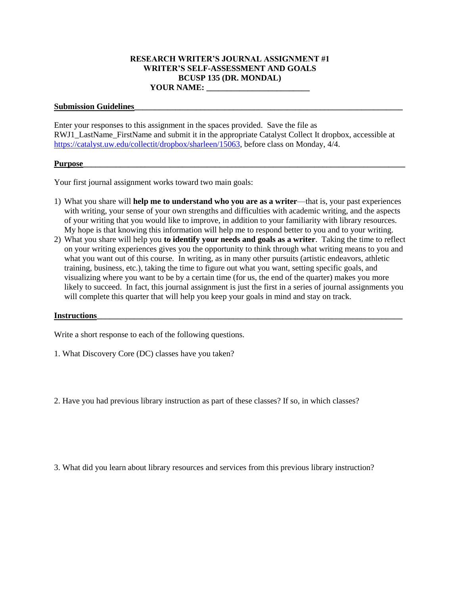## **RESEARCH WRITER'S JOURNAL ASSIGNMENT #1 WRITER'S SELF-ASSESSMENT AND GOALS BCUSP 135 (DR. MONDAL) YOUR NAME: \_\_\_\_\_\_\_\_\_\_\_\_\_\_\_\_\_\_\_\_\_\_\_\_\_**

## Submission Guidelines

Enter your responses to this assignment in the spaces provided. Save the file as RWJ1\_LastName\_FirstName and submit it in the appropriate Catalyst Collect It dropbox, accessible at [https://catalyst.uw.edu/collectit/dropbox/sharleen/15063,](https://catalyst.uw.edu/collectit/dropbox/sharleen/15063) before class on Monday, 4/4.

## **Purpose\_\_\_\_\_\_\_\_\_\_\_\_\_\_\_\_\_\_\_\_\_\_\_\_\_\_\_\_\_\_\_\_\_\_\_\_\_\_\_\_\_\_\_\_\_\_\_\_\_\_\_\_\_\_\_\_\_\_\_\_\_\_\_\_\_\_\_\_\_\_\_\_\_\_\_\_\_\_**

Your first journal assignment works toward two main goals:

- 1) What you share will **help me to understand who you are as a writer**—that is, your past experiences with writing, your sense of your own strengths and difficulties with academic writing, and the aspects of your writing that you would like to improve, in addition to your familiarity with library resources. My hope is that knowing this information will help me to respond better to you and to your writing.
- 2) What you share will help you **to identify your needs and goals as a writer**. Taking the time to reflect on your writing experiences gives you the opportunity to think through what writing means to you and what you want out of this course. In writing, as in many other pursuits (artistic endeavors, athletic training, business, etc.), taking the time to figure out what you want, setting specific goals, and visualizing where you want to be by a certain time (for us, the end of the quarter) makes you more likely to succeed. In fact, this journal assignment is just the first in a series of journal assignments you will complete this quarter that will help you keep your goals in mind and stay on track.

## **Instructions**

Write a short response to each of the following questions.

1. What Discovery Core (DC) classes have you taken?

2. Have you had previous library instruction as part of these classes? If so, in which classes?

3. What did you learn about library resources and services from this previous library instruction?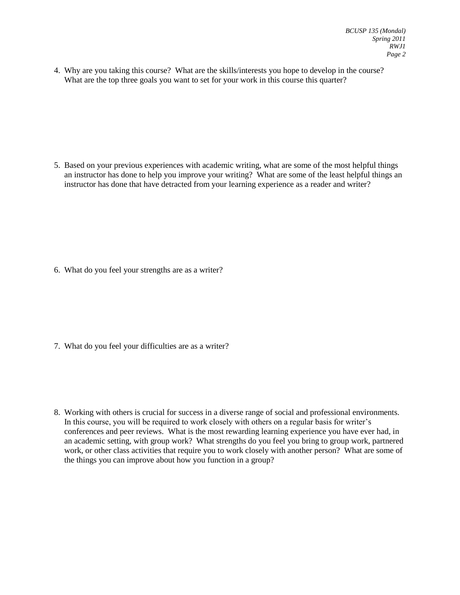4. Why are you taking this course? What are the skills/interests you hope to develop in the course? What are the top three goals you want to set for your work in this course this quarter?

5. Based on your previous experiences with academic writing, what are some of the most helpful things an instructor has done to help you improve your writing? What are some of the least helpful things an instructor has done that have detracted from your learning experience as a reader and writer?

6. What do you feel your strengths are as a writer?

- 7. What do you feel your difficulties are as a writer?
- 8. Working with others is crucial for success in a diverse range of social and professional environments. In this course, you will be required to work closely with others on a regular basis for writer's conferences and peer reviews. What is the most rewarding learning experience you have ever had, in an academic setting, with group work? What strengths do you feel you bring to group work, partnered work, or other class activities that require you to work closely with another person? What are some of the things you can improve about how you function in a group?